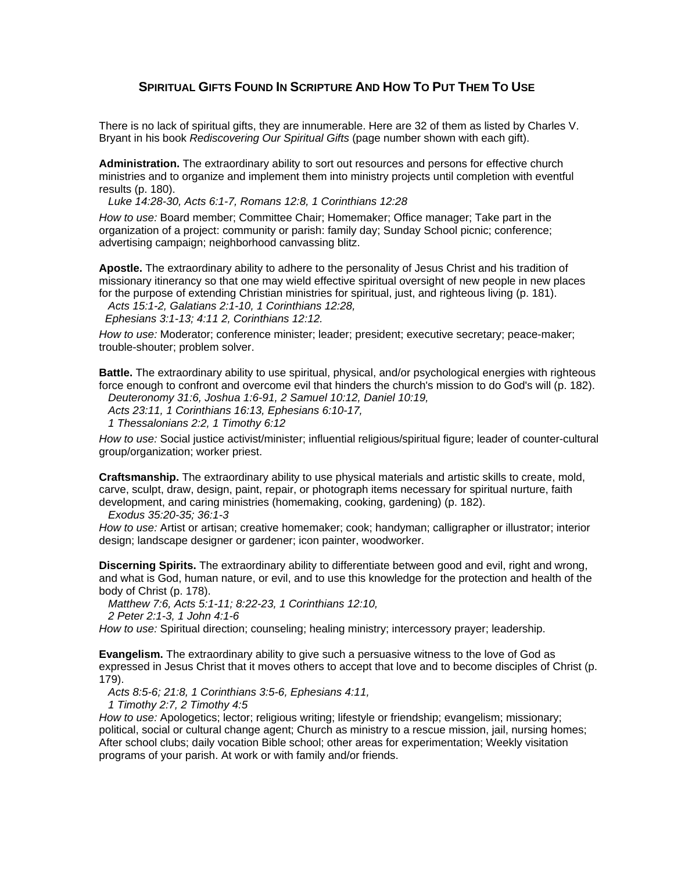## **SPIRITUAL GIFTS FOUND IN SCRIPTURE AND HOW TO PUT THEM TO USE**

There is no lack of spiritual gifts, they are innumerable. Here are 32 of them as listed by Charles V. Bryant in his book *Rediscovering Our Spiritual Gifts* (page number shown with each gift).

**Administration.** The extraordinary ability to sort out resources and persons for effective church ministries and to organize and implement them into ministry projects until completion with eventful results (p. 180).

*Luke 14:28-30, Acts 6:1-7, Romans 12:8, 1 Corinthians 12:28* 

*How to use:* Board member; Committee Chair; Homemaker; Office manager; Take part in the organization of a project: community or parish: family day; Sunday School picnic; conference; advertising campaign; neighborhood canvassing blitz.

**Apostle.** The extraordinary ability to adhere to the personality of Jesus Christ and his tradition of missionary itinerancy so that one may wield effective spiritual oversight of new people in new places for the purpose of extending Christian ministries for spiritual, just, and righteous living (p. 181).

*Acts 15:1-2, Galatians 2:1-10, 1 Corinthians 12:28,* 

 *Ephesians 3:1-13; 4:11 2, Corinthians 12:12.* 

*How to use:* Moderator; conference minister; leader; president; executive secretary; peace-maker; trouble-shouter; problem solver.

**Battle.** The extraordinary ability to use spiritual, physical, and/or psychological energies with righteous force enough to confront and overcome evil that hinders the church's mission to do God's will (p. 182).

*Deuteronomy 31:6, Joshua 1:6-91, 2 Samuel 10:12, Daniel 10:19,* 

 *Acts 23:11, 1 Corinthians 16:13, Ephesians 6:10-17,* 

 *1 Thessalonians 2:2, 1 Timothy 6:12* 

*How to use:* Social justice activist/minister; influential religious/spiritual figure; leader of counter-cultural group/organization; worker priest.

**Craftsmanship.** The extraordinary ability to use physical materials and artistic skills to create, mold, carve, sculpt, draw, design, paint, repair, or photograph items necessary for spiritual nurture, faith development, and caring ministries (homemaking, cooking, gardening) (p. 182).

*Exodus 35:20-35; 36:1-3*

*How to use:* Artist or artisan; creative homemaker; cook; handyman; calligrapher or illustrator; interior design; landscape designer or gardener; icon painter, woodworker.

**Discerning Spirits.** The extraordinary ability to differentiate between good and evil, right and wrong, and what is God, human nature, or evil, and to use this knowledge for the protection and health of the body of Christ (p. 178).

*Matthew 7:6, Acts 5:1-11; 8:22-23, 1 Corinthians 12:10,* 

 *2 Peter 2:1-3, 1 John 4:1-6*

*How to use:* Spiritual direction; counseling; healing ministry; intercessory prayer; leadership.

**Evangelism.** The extraordinary ability to give such a persuasive witness to the love of God as expressed in Jesus Christ that it moves others to accept that love and to become disciples of Christ (p. 179).

*Acts 8:5-6; 21:8, 1 Corinthians 3:5-6, Ephesians 4:11,* 

 *1 Timothy 2:7, 2 Timothy 4:5*

*How to use:* Apologetics; lector; religious writing; lifestyle or friendship; evangelism; missionary; political, social or cultural change agent; Church as ministry to a rescue mission, jail, nursing homes; After school clubs; daily vocation Bible school; other areas for experimentation; Weekly visitation programs of your parish. At work or with family and/or friends.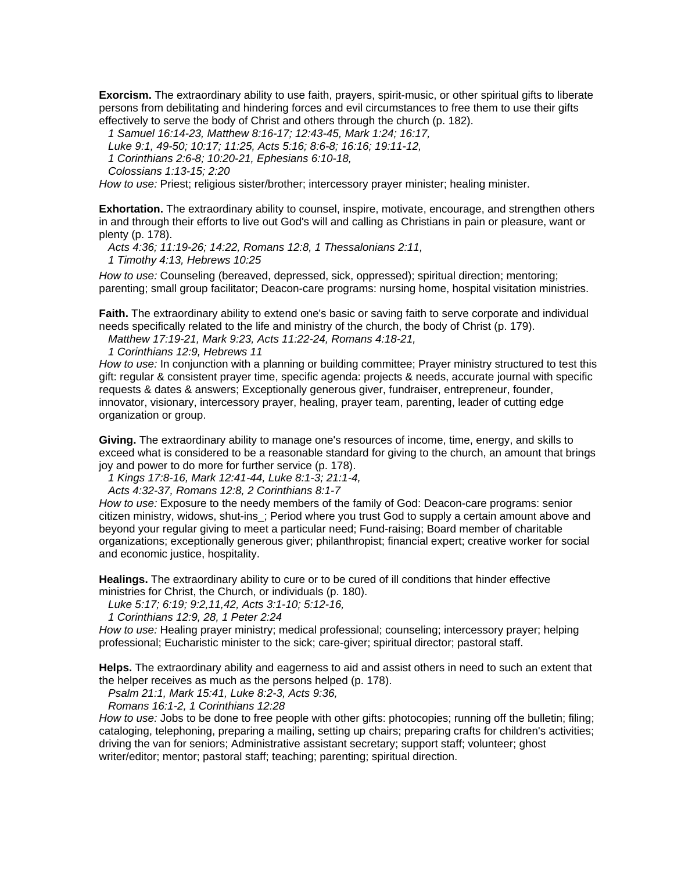**Exorcism.** The extraordinary ability to use faith, prayers, spirit-music, or other spiritual gifts to liberate persons from debilitating and hindering forces and evil circumstances to free them to use their gifts effectively to serve the body of Christ and others through the church (p. 182).

 *1 Samuel 16:14-23, Matthew 8:16-17; 12:43-45, Mark 1:24; 16:17, Luke 9:1, 49-50; 10:17; 11:25, Acts 5:16; 8:6-8; 16:16; 19:11-12, 1 Corinthians 2:6-8; 10:20-21, Ephesians 6:10-18, Colossians 1:13-15; 2:20*

*How to use:* Priest; religious sister/brother; intercessory prayer minister; healing minister.

**Exhortation.** The extraordinary ability to counsel, inspire, motivate, encourage, and strengthen others in and through their efforts to live out God's will and calling as Christians in pain or pleasure, want or plenty (p. 178).

*Acts 4:36; 11:19-26; 14:22, Romans 12:8, 1 Thessalonians 2:11,* 

 *1 Timothy 4:13, Hebrews 10:25* 

*How to use:* Counseling (bereaved, depressed, sick, oppressed); spiritual direction; mentoring; parenting; small group facilitator; Deacon-care programs: nursing home, hospital visitation ministries.

**Faith.** The extraordinary ability to extend one's basic or saving faith to serve corporate and individual needs specifically related to the life and ministry of the church, the body of Christ (p. 179).

*Matthew 17:19-21, Mark 9:23, Acts 11:22-24, Romans 4:18-21,* 

 *1 Corinthians 12:9, Hebrews 11*

*How to use:* In conjunction with a planning or building committee; Prayer ministry structured to test this gift: regular & consistent prayer time, specific agenda: projects & needs, accurate journal with specific requests & dates & answers; Exceptionally generous giver, fundraiser, entrepreneur, founder, innovator, visionary, intercessory prayer, healing, prayer team, parenting, leader of cutting edge organization or group.

**Giving.** The extraordinary ability to manage one's resources of income, time, energy, and skills to exceed what is considered to be a reasonable standard for giving to the church, an amount that brings joy and power to do more for further service (p. 178).

*1 Kings 17:8-16, Mark 12:41-44, Luke 8:1-3; 21:1-4,* 

 *Acts 4:32-37, Romans 12:8, 2 Corinthians 8:1-7*

*How to use:* Exposure to the needy members of the family of God: Deacon-care programs: senior citizen ministry, widows, shut-ins\_; Period where you trust God to supply a certain amount above and beyond your regular giving to meet a particular need; Fund-raising; Board member of charitable organizations; exceptionally generous giver; philanthropist; financial expert; creative worker for social and economic justice, hospitality.

**Healings.** The extraordinary ability to cure or to be cured of ill conditions that hinder effective ministries for Christ, the Church, or individuals (p. 180).

*Luke 5:17; 6:19; 9:2,11,42, Acts 3:1-10; 5:12-16,* 

 *1 Corinthians 12:9, 28, 1 Peter 2:24*

*How to use:* Healing prayer ministry; medical professional; counseling; intercessory prayer; helping professional; Eucharistic minister to the sick; care-giver; spiritual director; pastoral staff.

**Helps.** The extraordinary ability and eagerness to aid and assist others in need to such an extent that the helper receives as much as the persons helped (p. 178).

*Psalm 21:1, Mark 15:41, Luke 8:2-3, Acts 9:36,* 

 *Romans 16:1-2, 1 Corinthians 12:28*

*How to use:* Jobs to be done to free people with other gifts: photocopies; running off the bulletin; filing; cataloging, telephoning, preparing a mailing, setting up chairs; preparing crafts for children's activities; driving the van for seniors; Administrative assistant secretary; support staff; volunteer; ghost writer/editor; mentor; pastoral staff; teaching; parenting; spiritual direction.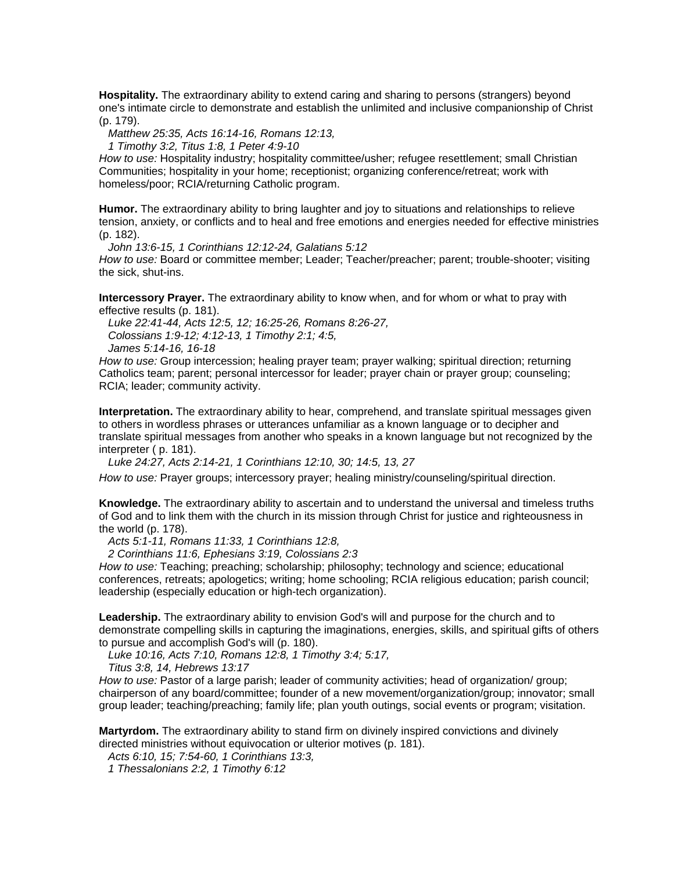**Hospitality.** The extraordinary ability to extend caring and sharing to persons (strangers) beyond one's intimate circle to demonstrate and establish the unlimited and inclusive companionship of Christ (p. 179).

*Matthew 25:35, Acts 16:14-16, Romans 12:13,* 

 *1 Timothy 3:2, Titus 1:8, 1 Peter 4:9-10*

*How to use:* Hospitality industry; hospitality committee/usher; refugee resettlement; small Christian Communities; hospitality in your home; receptionist; organizing conference/retreat; work with homeless/poor; RCIA/returning Catholic program.

**Humor.** The extraordinary ability to bring laughter and joy to situations and relationships to relieve tension, anxiety, or conflicts and to heal and free emotions and energies needed for effective ministries (p. 182).

*John 13:6-15, 1 Corinthians 12:12-24, Galatians 5:12* 

*How to use:* Board or committee member; Leader; Teacher/preacher; parent; trouble-shooter; visiting the sick, shut-ins.

**Intercessory Prayer.** The extraordinary ability to know when, and for whom or what to pray with effective results (p. 181).

 *Luke 22:41-44, Acts 12:5, 12; 16:25-26, Romans 8:26-27, Colossians 1:9-12; 4:12-13, 1 Timothy 2:1; 4:5, James 5:14-16, 16-18*

*How to use:* Group intercession; healing prayer team; prayer walking; spiritual direction; returning Catholics team; parent; personal intercessor for leader; prayer chain or prayer group; counseling; RCIA; leader; community activity.

**Interpretation.** The extraordinary ability to hear, comprehend, and translate spiritual messages given to others in wordless phrases or utterances unfamiliar as a known language or to decipher and translate spiritual messages from another who speaks in a known language but not recognized by the interpreter ( p. 181).

*Luke 24:27, Acts 2:14-21, 1 Corinthians 12:10, 30; 14:5, 13, 27* 

*How to use:* Prayer groups; intercessory prayer; healing ministry/counseling/spiritual direction.

**Knowledge.** The extraordinary ability to ascertain and to understand the universal and timeless truths of God and to link them with the church in its mission through Christ for justice and righteousness in the world (p. 178).

*Acts 5:1-11, Romans 11:33, 1 Corinthians 12:8,* 

 *2 Corinthians 11:6, Ephesians 3:19, Colossians 2:3*

*How to use:* Teaching; preaching; scholarship; philosophy; technology and science; educational conferences, retreats; apologetics; writing; home schooling; RCIA religious education; parish council; leadership (especially education or high-tech organization).

**Leadership.** The extraordinary ability to envision God's will and purpose for the church and to demonstrate compelling skills in capturing the imaginations, energies, skills, and spiritual gifts of others to pursue and accomplish God's will (p. 180).

*Luke 10:16, Acts 7:10, Romans 12:8, 1 Timothy 3:4; 5:17,* 

 *Titus 3:8, 14, Hebrews 13:17*

*How to use:* Pastor of a large parish; leader of community activities; head of organization/ group; chairperson of any board/committee; founder of a new movement/organization/group; innovator; small group leader; teaching/preaching; family life; plan youth outings, social events or program; visitation.

**Martyrdom.** The extraordinary ability to stand firm on divinely inspired convictions and divinely directed ministries without equivocation or ulterior motives (p. 181).

*Acts 6:10, 15; 7:54-60, 1 Corinthians 13:3,* 

 *1 Thessalonians 2:2, 1 Timothy 6:12*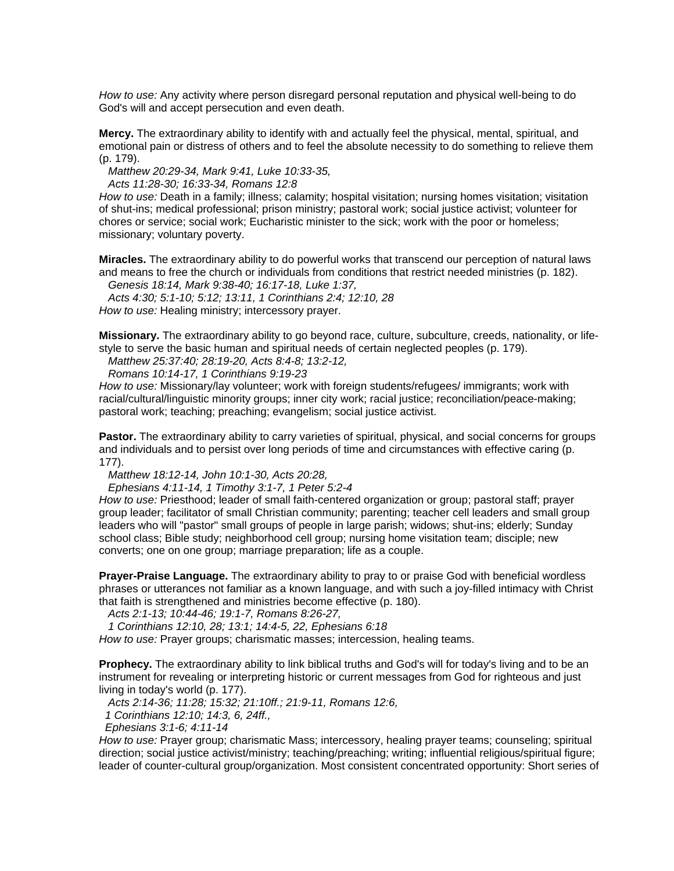*How to use:* Any activity where person disregard personal reputation and physical well-being to do God's will and accept persecution and even death.

**Mercy.** The extraordinary ability to identify with and actually feel the physical, mental, spiritual, and emotional pain or distress of others and to feel the absolute necessity to do something to relieve them (p. 179).

*Matthew 20:29-34, Mark 9:41, Luke 10:33-35,* 

 *Acts 11:28-30; 16:33-34, Romans 12:8*

*How to use:* Death in a family; illness; calamity; hospital visitation; nursing homes visitation; visitation of shut-ins; medical professional; prison ministry; pastoral work; social justice activist; volunteer for chores or service; social work; Eucharistic minister to the sick; work with the poor or homeless; missionary; voluntary poverty.

**Miracles.** The extraordinary ability to do powerful works that transcend our perception of natural laws and means to free the church or individuals from conditions that restrict needed ministries (p. 182).

*Genesis 18:14, Mark 9:38-40; 16:17-18, Luke 1:37,* 

 *Acts 4:30; 5:1-10; 5:12; 13:11, 1 Corinthians 2:4; 12:10, 28 How to use:* Healing ministry; intercessory prayer.

**Missionary.** The extraordinary ability to go beyond race, culture, subculture, creeds, nationality, or lifestyle to serve the basic human and spiritual needs of certain neglected peoples (p. 179).

*Matthew 25:37:40; 28:19-20, Acts 8:4-8; 13:2-12,* 

 *Romans 10:14-17, 1 Corinthians 9:19-23*

*How to use:* Missionary/lay volunteer; work with foreign students/refugees/ immigrants; work with racial/cultural/linguistic minority groups; inner city work; racial justice; reconciliation/peace-making; pastoral work; teaching; preaching; evangelism; social justice activist.

**Pastor.** The extraordinary ability to carry varieties of spiritual, physical, and social concerns for groups and individuals and to persist over long periods of time and circumstances with effective caring (p. 177).

*Matthew 18:12-14, John 10:1-30, Acts 20:28,* 

 *Ephesians 4:11-14, 1 Timothy 3:1-7, 1 Peter 5:2-4*

*How to use:* Priesthood; leader of small faith-centered organization or group; pastoral staff; prayer group leader; facilitator of small Christian community; parenting; teacher cell leaders and small group leaders who will "pastor" small groups of people in large parish; widows; shut-ins; elderly; Sunday school class; Bible study; neighborhood cell group; nursing home visitation team; disciple; new converts; one on one group; marriage preparation; life as a couple.

**Prayer-Praise Language.** The extraordinary ability to pray to or praise God with beneficial wordless phrases or utterances not familiar as a known language, and with such a joy-filled intimacy with Christ that faith is strengthened and ministries become effective (p. 180).

*Acts 2:1-13; 10:44-46; 19:1-7, Romans 8:26-27,* 

 *1 Corinthians 12:10, 28; 13:1; 14:4-5, 22, Ephesians 6:18* 

*How to use:* Prayer groups; charismatic masses; intercession, healing teams.

**Prophecy.** The extraordinary ability to link biblical truths and God's will for today's living and to be an instrument for revealing or interpreting historic or current messages from God for righteous and just living in today's world (p. 177).

*Acts 2:14-36; 11:28; 15:32; 21:10ff.; 21:9-11, Romans 12:6,* 

 *1 Corinthians 12:10; 14:3, 6, 24ff.,* 

 *Ephesians 3:1-6; 4:11-14*

*How to use:* Prayer group; charismatic Mass; intercessory, healing prayer teams; counseling; spiritual direction; social justice activist/ministry; teaching/preaching; writing; influential religious/spiritual figure; leader of counter-cultural group/organization. Most consistent concentrated opportunity: Short series of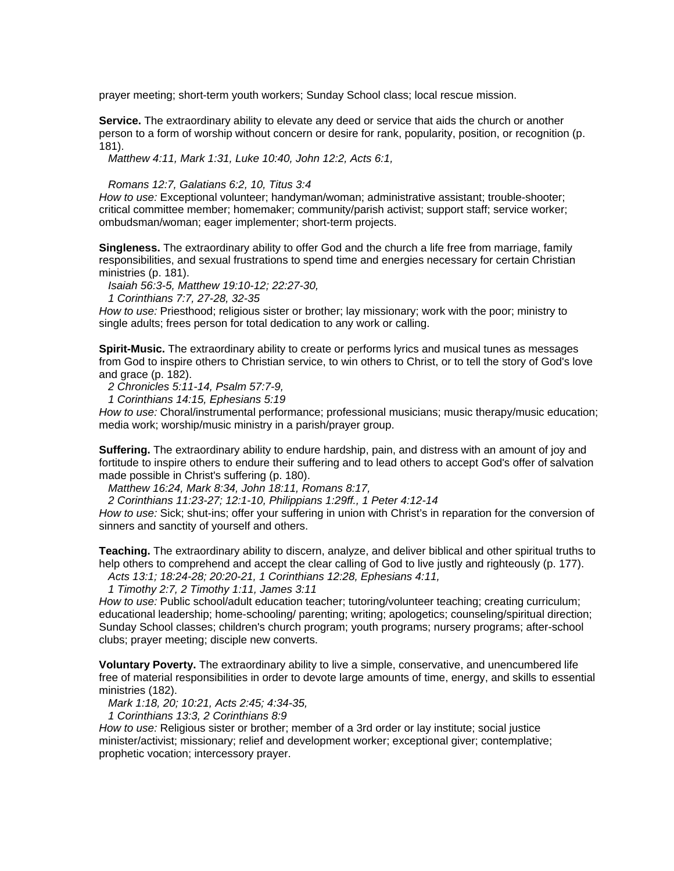prayer meeting; short-term youth workers; Sunday School class; local rescue mission.

**Service.** The extraordinary ability to elevate any deed or service that aids the church or another person to a form of worship without concern or desire for rank, popularity, position, or recognition (p. 181).

*Matthew 4:11, Mark 1:31, Luke 10:40, John 12:2, Acts 6:1,* 

## *Romans 12:7, Galatians 6:2, 10, Titus 3:4*

*How to use:* Exceptional volunteer; handyman/woman; administrative assistant; trouble-shooter; critical committee member; homemaker; community/parish activist; support staff; service worker; ombudsman/woman; eager implementer; short-term projects.

**Singleness.** The extraordinary ability to offer God and the church a life free from marriage, family responsibilities, and sexual frustrations to spend time and energies necessary for certain Christian ministries (p. 181).

*Isaiah 56:3-5, Matthew 19:10-12; 22:27-30,* 

 *1 Corinthians 7:7, 27-28, 32-35*

*How to use:* Priesthood; religious sister or brother; lay missionary; work with the poor; ministry to single adults; frees person for total dedication to any work or calling.

**Spirit-Music.** The extraordinary ability to create or performs lyrics and musical tunes as messages from God to inspire others to Christian service, to win others to Christ, or to tell the story of God's love and grace (p. 182).

*2 Chronicles 5:11-14, Psalm 57:7-9,* 

 *1 Corinthians 14:15, Ephesians 5:19*

*How to use:* Choral/instrumental performance; professional musicians; music therapy/music education; media work; worship/music ministry in a parish/prayer group.

**Suffering.** The extraordinary ability to endure hardship, pain, and distress with an amount of joy and fortitude to inspire others to endure their suffering and to lead others to accept God's offer of salvation made possible in Christ's suffering (p. 180).

*Matthew 16:24, Mark 8:34, John 18:11, Romans 8:17,* 

 *2 Corinthians 11:23-27; 12:1-10, Philippians 1:29ff., 1 Peter 4:12-14*

*How to use:* Sick; shut-ins; offer your suffering in union with Christ's in reparation for the conversion of sinners and sanctity of yourself and others.

**Teaching.** The extraordinary ability to discern, analyze, and deliver biblical and other spiritual truths to help others to comprehend and accept the clear calling of God to live justly and righteously (p. 177).

*Acts 13:1; 18:24-28; 20:20-21, 1 Corinthians 12:28, Ephesians 4:11,* 

 *1 Timothy 2:7, 2 Timothy 1:11, James 3:11*

*How to use:* Public school/adult education teacher; tutoring/volunteer teaching; creating curriculum; educational leadership; home-schooling/ parenting; writing; apologetics; counseling/spiritual direction; Sunday School classes; children's church program; youth programs; nursery programs; after-school clubs; prayer meeting; disciple new converts.

**Voluntary Poverty.** The extraordinary ability to live a simple, conservative, and unencumbered life free of material responsibilities in order to devote large amounts of time, energy, and skills to essential ministries (182).

*Mark 1:18, 20; 10:21, Acts 2:45; 4:34-35,* 

 *1 Corinthians 13:3, 2 Corinthians 8:9*

*How to use:* Religious sister or brother; member of a 3rd order or lay institute; social justice minister/activist; missionary; relief and development worker; exceptional giver; contemplative; prophetic vocation; intercessory prayer.